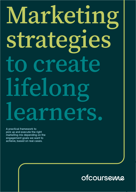# Marketing strategies to create lifelong learners.

A practical framework to pick up and execute the right marketing mix depending on the engagement goals we want to achieve, based on real cases.

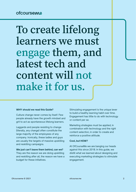# To create lifelong learners we must engage them, and latest tech and content will not make it for us.

#### **WHY should we read this Guide?**

Culture change never comes by itself. Few people already have the growth mindset and grit to act as spontaneous lifelong learners.

Laggards and people resisting to change (literally, any change) often constitute the large majority of the employees of any company. Ironically, these ladies and guys are usually the targets of massive upskilling and reskilling campaigns.

### **We just can't leave them behind, can we?**

They are the reason we are doing upskilling and reskilling after all, the reason we have a budget for these initiatives.

Stimulating engagement is the unique lever to build a healthy learning habit over time. Engagement has little to do with technology or content per se.

Marketing strategies must be applied, in combination with technology and the right content selection, in order to create and reinforce a positive attitude.

#### **Cool, but HOW?**

At OfCourseMe we are banging our heads against this since 2018. In this guide, we distill what we learned about designing and executing marketing strategies to stimulate engagement.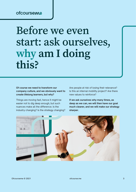# Before we even start: ask ourselves, why am I doing this?

**Of course we need to transform our company culture, and we obviously want to create lifelong learners, but why?**

Things are moving fast, hence it might be easier not to dig deep enough, but such nuances make all the difference. Is the industry changing? Is the strategy changing? Are people at risk of losing their relevance? Is this an internal mobility project? Are there new values to reinforce?

**If we ask ourselves why many times, as deep as we can, we will then have our goal much clearer, and we will make our strategy sharper.**

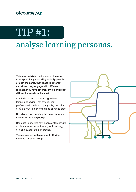# TIP #1: analyse learning personas.

**This may be trivial, and is one of the core concepts of any marketing activity: people are not the same, they react to different narratives, they engage with different formats, they have different styles and react differently to external stimuli.**

Clustering learners according to their leraning behaviour (not by age, sex, professional family, company role, seniority, etc.) is a must do prior to doing anything else.

### **So, why are we sending the same monthly newsletter to everybody?**

Use data to analyze how people interact with contents, when, what format, for how long, etc. and cluster them in groups.

**Then come out with a content offering specific for each group.**

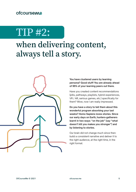

### when delivering content, always tell a story.



### **You have clustered users by learning persona? Good stuff! You are already ahead of 95% of your learning peers out there.**

Have you created content recommendations (pills, pathways, playlists, hybrid experiences, VR / AR, serious games, etc.) specifically for them? Wow, now I am really impressed.

**Do you have a story to tell them about this wonderful program absorbing your last weeks? Homo Sapiens loves stories. Since our early days on Earth, hunters-gatherers learnt in two ways: "on the job" (say "what doesn't kill you makes you stronger") and by listening to stories.**

Our brain did not change much since then: build a consistent narrative and deliver it to the right audience, at the right time, in the right format.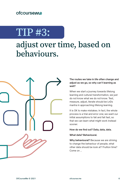# TIP #3:

### adjust over time, based on behaviours.



### **The routes we take in life often change and adjust as we go, so why can't learning as well?**

When we start a journey towards lifelong learning and cultural transformation, we just do not know what we do not know. Test, measure, adjust, iterate should be LnDs mantra in approaching lifelong learning.

It is OK to make mistakes. In fact, the whole process is a trial and error one; we want our initial assumptions to fail and fail fast, so that we can learn what might work instead sooner.

#### **How do we find out? Data, data, data.**

#### **What data? Behavioural.**

**Why behavioural?** Because we are striving to change the behaviour of people, what other data should be look at? Fruition time? Come on ...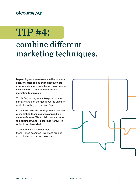# TIP #4:

### combine different marketing techniques.

**Depending on where we are in the process (kick-off, after one quarter since kick-off, after one year, etc.), and based on progress, we may need to implement different marketing techniques.**

This is OK, as long as we keep a consistent narrative and don't forget about the ultimate goal (the WHY, yes, our Polar Star).

**In the next slide we put together a selection of marketing techniques we applied in a variety of cases. We explain how and when to adopt them, and - more importantly - in order to achieve what.**

There are many more out there, but these - once executed - work and are not complicated to plan and execute.

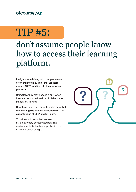# TIP #5:

### don't assume people know how to access their learning platform.

**It might seem trivial, but it happens more often than we may think that learners are not 100% familiar with their learning platform.**

Ultimately, they may access it only when they are prescribed to do so to take some mandatory training.

**Needless to say, we need to make sure that the learning experience is aligned with the expectations of 2021 digital users.**

This does not mean that we need to build extremely complicated learning environments, but rather apply basic user centric product design.